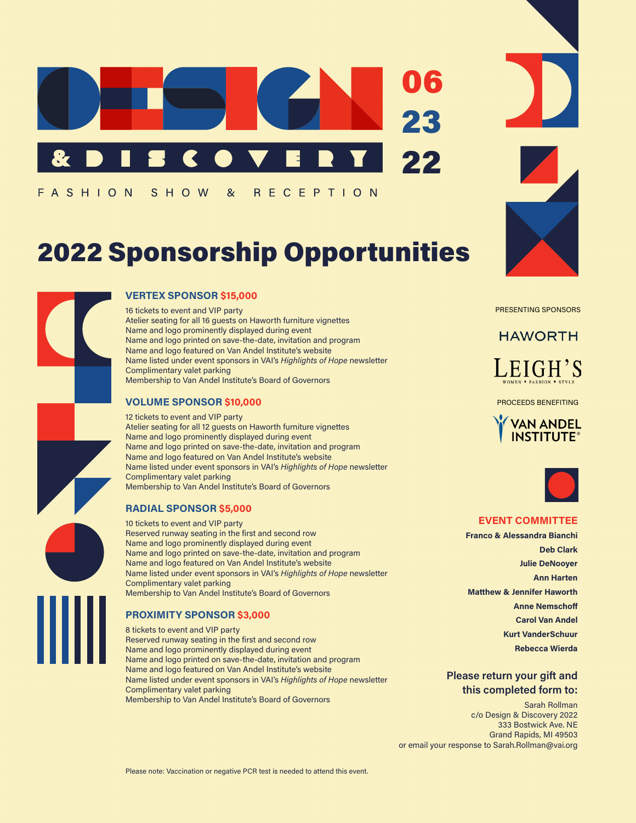

FASHION S H O W  $\alpha$ R E C E P T I O N

# 2022 Sponsorship Opportunities



### **VERTEX SPONSOR \$15,000**

16 tickets to event and VIP party Atelier seating for all 16 guests on Haworth furniture vignettes Name and logo prominently displayed during event Name and logo printed on save-the-date, invitation and program Name and logo featured on Van Andel Institute's website Name listed under event sponsors in VAI's *Highlights of Hope* newsletter Complimentary valet parking Membership to Van Andel Institute's Board of Governors

### **VOLUME SPONSOR \$10,000**

12 tickets to event and VIP party Atelier seating for all 12 guests on Haworth furniture vignettes Name and logo prominently displayed during event Name and logo printed on save-the-date, invitation and program Name and logo featured on Van Andel Institute's website Name listed under event sponsors in VAI's *Highlights of Hope* newsletter Complimentary valet parking Membership to Van Andel Institute's Board of Governors

### **RADIAL SPONSOR \$5,000**

10 tickets to event and VIP party Reserved runway seating in the first and second row Name and logo prominently displayed during event Name and logo printed on save-the-date, invitation and program Name and logo featured on Van Andel Institute's website Name listed under event sponsors in VAI's *Highlights of Hope* newsletter Complimentary valet parking Membership to Van Andel Institute's Board of Governors

### **PROXIMITY SPONSOR \$3,000**

8 tickets to event and VIP party Reserved runway seating in the first and second row Name and logo prominently displayed during event Name and logo printed on save-the-date, invitation and program Name and logo featured on Van Andel Institute's website Name listed under event sponsors in VAI's *Highlights of Hope* newsletter Complimentary valet parking Membership to Van Andel Institute's Board of Governors



PRESENTING SPONSORS

### **HAWORTH** LEIGH'S

PROCEEDS BENEFITING





### **EVENT COMMITTEE**

**Franco & Alessandra Bianchi Deb Clark Julie DeNooyer Ann Harten Matthew & Jennifer Haworth Anne Nemschoff Carol Van Andel Kurt VanderSchuur Rebecca Wierda**

### **Please return your gift and this completed form to:**

Sarah Rollman c/o Design & Discovery 2022 333 Bostwick Ave. NE Grand Rapids, MI 49503 or email your response to Sarah.Rollman@vai.org